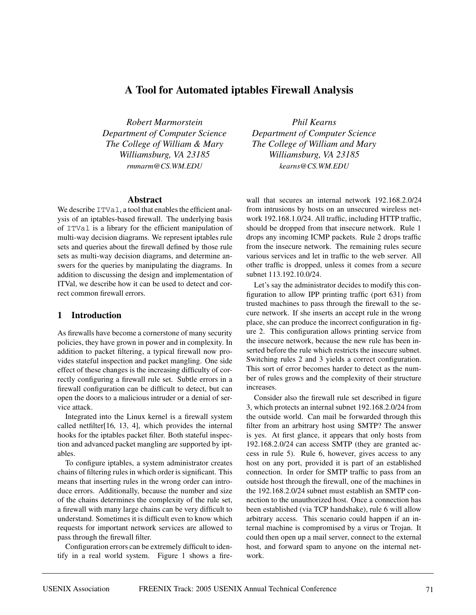# **A Tool for Automated iptables Firewall Analysis**

*Robert Marmorstein Department of Computer Science The College of William & Mary Williamsburg, VA 23185 rmmarm@CS.WM.EDU*

#### **Abstract**

We describe  $ITVal$ , a tool that enables the efficient analysis of an iptables-based firewall. The underlying basis of ITVal is a library for the efficient manipulation of multi-way decision diagrams. We represent iptables rule sets and queries about the firewall defined by those rule sets as multi-way decision diagrams, and determine answers for the queries by manipulating the diagrams. In addition to discussing the design and implementation of ITVal, we describe how it can be used to detect and correct common firewall errors.

# **1 Introduction**

As firewalls have become a cornerstone of many security policies, they have grown in power and in complexity. In addition to packet filtering, a typical firewall now provides stateful inspection and packet mangling. One side effect of these changes is the increasing difficulty of correctly configuring a firewall rule set. Subtle errors in a firewall configuration can be difficult to detect, but can open the doors to a malicious intruder or a denial of service attack.

Integrated into the Linux kernel is a firewall system called netfilter[16, 13, 4], which provides the internal hooks for the iptables packet filter. Both stateful inspection and advanced packet mangling are supported by iptables.

To configure iptables, a system administrator creates chains of filtering rules in which order is significant. This means that inserting rules in the wrong order can introduce errors. Additionally, because the number and size of the chains determines the complexity of the rule set, a firewall with many large chains can be very difficult to understand. Sometimes it is difficult even to know which requests for important network services are allowed to pass through the firewall filter.

Configuration errors can be extremely difficult to identify in a real world system. Figure 1 shows a fire-

*Phil Kearns Department of Computer Science The College of William and Mary Williamsburg, VA 23185 kearns@CS.WM.EDU*

wall that secures an internal network 192.168.2.0/24 from intrusions by hosts on an unsecured wireless network 192.168.1.0/24. All traffic, including HTTP traffic, should be dropped from that insecure network. Rule 1 drops any incoming ICMP packets. Rule 2 drops traffic from the insecure network. The remaining rules secure various services and let in traffic to the web server. All other traffic is dropped, unless it comes from a secure subnet 113.192.10.0/24.

Let's say the administrator decides to modify this configuration to allow IPP printing traffic (port 631) from trusted machines to pass through the firewall to the secure network. If she inserts an accept rule in the wrong place, she can produce the incorrect configuration in figure 2. This configuration allows printing service from the insecure network, because the new rule has been inserted before the rule which restricts the insecure subnet. Switching rules 2 and 3 yields a correct configuration. This sort of error becomes harder to detect as the number of rules grows and the complexity of their structure increases.

Consider also the firewall rule set described in figure 3, which protects an internal subnet 192.168.2.0/24 from the outside world. Can mail be forwarded through this filter from an arbitrary host using SMTP? The answer is yes. At first glance, it appears that only hosts from 192.168.2.0/24 can access SMTP (they are granted access in rule 5). Rule 6, however, gives access to any host on any port, provided it is part of an established connection. In order for SMTP traffic to pass from an outside host through the firewall, one of the machines in the 192.168.2.0/24 subnet must establish an SMTP connection to the unauthorized host. Once a connection has been established (via TCP handshake), rule 6 will allow arbitrary access. This scenario could happen if an internal machine is compromised by a virus or Trojan. It could then open up a mail server, connect to the external host, and forward spam to anyone on the internal network.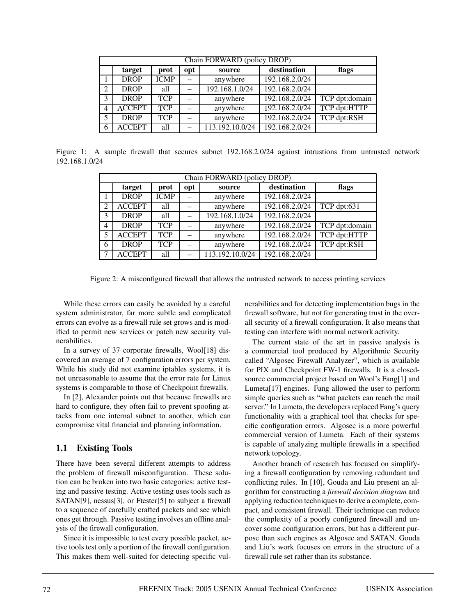|   | Chain FORWARD (policy DROP) |             |     |                 |                |                |
|---|-----------------------------|-------------|-----|-----------------|----------------|----------------|
|   | target                      | prot        | opt | source          | destination    | flags          |
|   | <b>DROP</b>                 | <b>ICMP</b> |     | anywhere        | 192.168.2.0/24 |                |
| 2 | <b>DROP</b>                 | all         |     | 192.168.1.0/24  | 192.168.2.0/24 |                |
| 3 | <b>DROP</b>                 | <b>TCP</b>  |     | anywhere        | 192.168.2.0/24 | TCP dpt:domain |
| 4 | <b>ACCEPT</b>               | <b>TCP</b>  |     | anywhere        | 192.168.2.0/24 | TCP dpt:HTTP   |
| 5 | <b>DROP</b>                 | <b>TCP</b>  |     | anywhere        | 192.168.2.0/24 | TCP dpt:RSH    |
| 6 | <b>ACCEPT</b>               | all         |     | 113.192.10.0/24 | 192.168.2.0/24 |                |

Figure 1: A sample firewall that secures subnet 192.168.2.0/24 against intrustions from untrusted network 192.168.1.0/24

|                | Chain FORWARD (policy DROP) |             |     |                 |                |                |
|----------------|-----------------------------|-------------|-----|-----------------|----------------|----------------|
|                | target                      | prot        | opt | source          | destination    | flags          |
|                | <b>DROP</b>                 | <b>ICMP</b> |     | anywhere        | 192.168.2.0/24 |                |
| $\overline{2}$ | <b>ACCEPT</b>               | all         |     | anywhere        | 192.168.2.0/24 | TCP dpt:631    |
| 3              | <b>DROP</b>                 | all         |     | 192.168.1.0/24  | 192.168.2.0/24 |                |
| 4              | <b>DROP</b>                 | <b>TCP</b>  |     | anywhere        | 192.168.2.0/24 | TCP dpt:domain |
| 5              | <b>ACCEPT</b>               | <b>TCP</b>  |     | anywhere        | 192.168.2.0/24 | TCP dpt:HTTP   |
| 6              | <b>DROP</b>                 | <b>TCP</b>  |     | anywhere        | 192.168.2.0/24 | TCP dpt:RSH    |
| ¬              | <b>ACCEPT</b>               | all         |     | 113.192.10.0/24 | 192.168.2.0/24 |                |

Figure 2: A misconfigured firewall that allows the untrusted network to access printing services

While these errors can easily be avoided by a careful system administrator, far more subtle and complicated errors can evolve as a firewall rule set grows and is modified to permit new services or patch new security vulnerabilities.

In a survey of 37 corporate firewalls, Wool[18] discovered an average of 7 configuration errors per system. While his study did not examine iptables systems, it is not unreasonable to assume that the error rate for Linux systems is comparable to those of Checkpoint firewalls.

In [2], Alexander points out that because firewalls are hard to configure, they often fail to prevent spoofing attacks from one internal subnet to another, which can compromise vital financial and planning information.

# **1.1 Existing Tools**

There have been several different attempts to address the problem of firewall misconfiguration. These solution can be broken into two basic categories: active testing and passive testing. Active testing uses tools such as SATAN[9], nessus[3], or Ftester[5] to subject a firewall to a sequence of carefully crafted packets and see which ones get through. Passive testing involves an offline analysis of the firewall configuration.

Since it is impossible to test every possible packet, active tools test only a portion of the firewall configuration. This makes them well-suited for detecting specific vulnerabilities and for detecting implementation bugs in the firewall software, but not for generating trust in the overall security of a firewall configuration. It also means that testing can interfere with normal network activity.

The current state of the art in passive analysis is a commercial tool produced by Algorithmic Security called "Algosec Firewall Analyzer", which is available for PIX and Checkpoint FW-1 firewalls. It is a closedsource commercial project based on Wool's Fang[1] and Lumeta[17] engines. Fang allowed the user to perform simple queries such as "what packets can reach the mail server." In Lumeta, the developers replaced Fang's query functionality with a graphical tool that checks for specific configuration errors. Algosec is a more powerful commercial version of Lumeta. Each of their systems is capable of analyzing multiple firewalls in a specified network topology.

Another branch of research has focused on simplifying a firewall configuration by removing redundant and conflicting rules. In [10], Gouda and Liu present an algorithm for constructing a *firewall decision diagram* and applying reduction techniques to derive a complete, compact, and consistent firewall. Their technique can reduce the complexity of a poorly configured firewall and uncover some configuration errors, but has a different purpose than such engines as Algosec and SATAN. Gouda and Liu's work focuses on errors in the structure of a firewall rule set rather than its substance.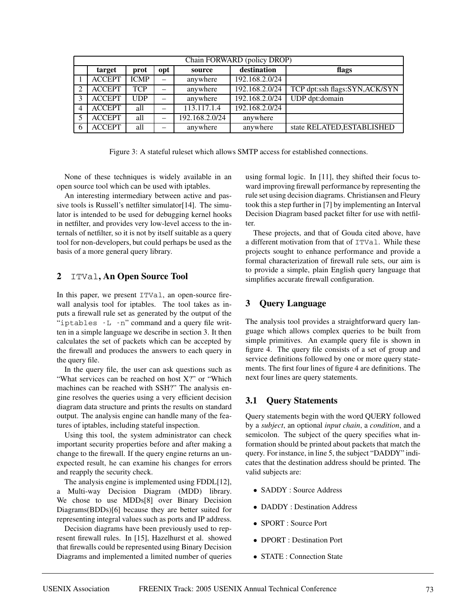|   | Chain FORWARD (policy DROP) |             |                          |                |                |                               |
|---|-----------------------------|-------------|--------------------------|----------------|----------------|-------------------------------|
|   | target                      | prot        | opt                      | source         | destination    | flags                         |
|   | <b>ACCEPT</b>               | <b>ICMP</b> | $\overline{\phantom{0}}$ | anywhere       | 192.168.2.0/24 |                               |
| 2 | <b>ACCEPT</b>               | <b>TCP</b>  | —                        | anywhere       | 192.168.2.0/24 | TCP dpt:ssh flags:SYN,ACK/SYN |
|   | <b>ACCEPT</b>               | UDP         | $\overline{\phantom{0}}$ | anywhere       | 192.168.2.0/24 | UDP dpt:domain                |
| 4 | <b>ACCEPT</b>               | all         | —                        | 113.117.1.4    | 192.168.2.0/24 |                               |
|   | <b>ACCEPT</b>               | all         |                          | 192.168.2.0/24 | anywhere       |                               |
|   | <b>ACCEPT</b>               | all         | -                        | anywhere       | anywhere       | state RELATED, ESTABLISHED    |

Figure 3: A stateful ruleset which allows SMTP access for established connections.

None of these techniques is widely available in an open source tool which can be used with iptables.

An interesting intermediary between active and passive tools is Russell's netfilter simulator[14]. The simulator is intended to be used for debugging kernel hooks in netfilter, and provides very low-level access to the internals of netfilter, so it is not by itself suitable as a query tool for non-developers, but could perhaps be used as the basis of a more general query library.

# **2** ITVal**, An Open Source Tool**

In this paper, we present ITVal, an open-source firewall analysis tool for iptables. The tool takes as inputs a firewall rule set as generated by the output of the "iptables -L -n" command and a query file written in a simple language we describe in section 3. It then calculates the set of packets which can be accepted by the firewall and produces the answers to each query in the query file.

In the query file, the user can ask questions such as "What services can be reached on host X?" or "Which machines can be reached with SSH?" The analysis engine resolves the queries using a very efficient decision diagram data structure and prints the results on standard output. The analysis engine can handle many of the features of iptables, including stateful inspection.

Using this tool, the system administrator can check important security properties before and after making a change to the firewall. If the query engine returns an unexpected result, he can examine his changes for errors and reapply the security check.

The analysis engine is implemented using FDDL[12], a Multi-way Decision Diagram (MDD) library. We chose to use MDDs[8] over Binary Decision Diagrams(BDDs)[6] because they are better suited for representing integral values such as ports and IP address.

Decision diagrams have been previously used to represent firewall rules. In [15], Hazelhurst et al. showed that firewalls could be represented using Binary Decision Diagrams and implemented a limited number of queries using formal logic. In [11], they shifted their focus toward improving firewall performance by representing the rule set using decision diagrams. Christiansen and Fleury took this a step further in [7] by implementing an Interval Decision Diagram based packet filter for use with netfilter.

These projects, and that of Gouda cited above, have a different motivation from that of ITVal. While these projects sought to enhance performance and provide a formal characterization of firewall rule sets, our aim is to provide a simple, plain English query language that simplifies accurate firewall configuration.

# **3 Query Language**

The analysis tool provides a straightforward query language which allows complex queries to be built from simple primitives. An example query file is shown in figure 4. The query file consists of a set of group and service definitions followed by one or more query statements. The first four lines of figure 4 are definitions. The next four lines are query statements.

# **3.1 Query Statements**

Query statements begin with the word QUERY followed by a *subject*, an optional *input chain*, a *condition*, and a semicolon. The subject of the query specifies what information should be printed about packets that match the query. For instance, in line 5, the subject "DADDY" indicates that the destination address should be printed. The valid subjects are:

- SADDY : Source Address
- DADDY: Destination Address
- SPORT : Source Port
- DPORT : Destination Port
- STATE : Connection State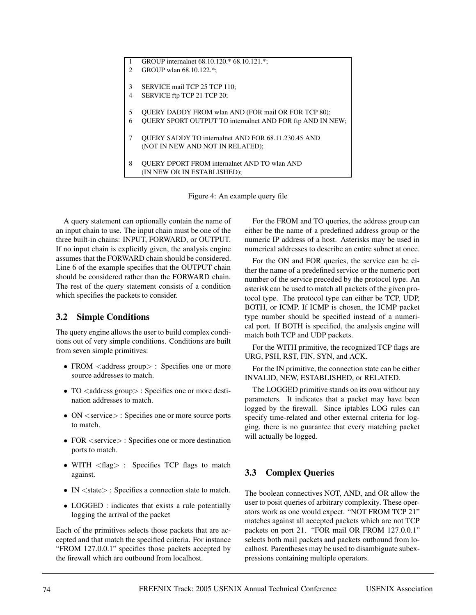| 1                      | GROUP internalnet 68.10.120.* 68.10.121.*;                       |
|------------------------|------------------------------------------------------------------|
| $\mathfrak{D}_{\cdot}$ | GROUP wlan 68.10.122.*:                                          |
|                        |                                                                  |
| 3                      | SERVICE mail TCP 25 TCP 110;                                     |
| 4                      | SERVICE ftp TCP 21 TCP 20;                                       |
|                        |                                                                  |
| 5                      | <b>OUERY DADDY FROM wlan AND (FOR mail OR FOR TCP 80):</b>       |
| 6                      | <b>OUERY SPORT OUTPUT TO internalnet AND FOR ftp AND IN NEW;</b> |
|                        |                                                                  |
| 7                      | <b>OUERY SADDY TO internalnet AND FOR 68.11.230.45 AND</b>       |
|                        | (NOT IN NEW AND NOT IN RELATED);                                 |
|                        |                                                                  |
| 8                      | <b>OUERY DPORT FROM internalnet AND TO wlan AND</b>              |
|                        | (IN NEW OR IN ESTABLISHED);                                      |

Figure 4: An example query file

A query statement can optionally contain the name of an input chain to use. The input chain must be one of the three built-in chains: INPUT, FORWARD, or OUTPUT. If no input chain is explicitly given, the analysis engine assumes that the FORWARD chain should be considered. Line 6 of the example specifies that the OUTPUT chain should be considered rather than the FORWARD chain. The rest of the query statement consists of a condition which specifies the packets to consider.

#### **3.2 Simple Conditions**

The query engine allows the user to build complex conditions out of very simple conditions. Conditions are built from seven simple primitives:

- FROM <address group> : Specifies one or more source addresses to match.
- TO <address group> : Specifies one or more destination addresses to match.
- ON  $\le$  service  $>$ : Specifies one or more source ports to match.
- FOR  $\le$ service $>$ : Specifies one or more destination ports to match.
- WITH <flag> : Specifies TCP flags to match against.
- IN  $\lt$  state  $>$ : Specifies a connection state to match.
- LOGGED : indicates that exists a rule potentially logging the arrival of the packet

Each of the primitives selects those packets that are accepted and that match the specified criteria. For instance "FROM 127.0.0.1" specifies those packets accepted by the firewall which are outbound from localhost.

For the FROM and TO queries, the address group can either be the name of a predefined address group or the numeric IP address of a host. Asterisks may be used in numerical addresses to describe an entire subnet at once.

For the ON and FOR queries, the service can be either the name of a predefined service or the numeric port number of the service preceded by the protocol type. An asterisk can be used to match all packets of the given protocol type. The protocol type can either be TCP, UDP, BOTH, or ICMP. If ICMP is chosen, the ICMP packet type number should be specified instead of a numerical port. If BOTH is specified, the analysis engine will match both TCP and UDP packets.

For the WITH primitive, the recognized TCP flags are URG, PSH, RST, FIN, SYN, and ACK.

For the IN primitive, the connection state can be either INVALID, NEW, ESTABLISHED, or RELATED.

The LOGGED primitive stands on its own without any parameters. It indicates that a packet may have been logged by the firewall. Since iptables LOG rules can specify time-related and other external criteria for logging, there is no guarantee that every matching packet will actually be logged.

# **3.3 Complex Queries**

The boolean connectives NOT, AND, and OR allow the user to posit queries of arbitrary complexity. These operators work as one would expect. "NOT FROM TCP 21" matches against all accepted packets which are not TCP packets on port 21. "FOR mail OR FROM 127.0.0.1" selects both mail packets and packets outbound from localhost. Parentheses may be used to disambiguate subexpressions containing multiple operators.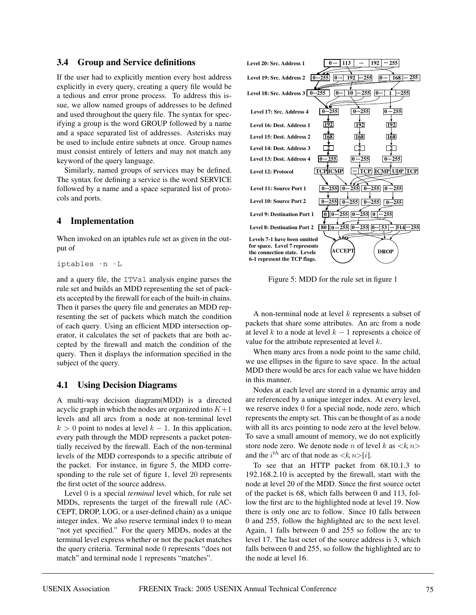### **3.4 Group and Service definitions**

If the user had to explicitly mention every host address explicitly in every query, creating a query file would be a tedious and error prone process. To address this issue, we allow named groups of addresses to be defined and used throughout the query file. The syntax for specifying a group is the word GROUP followed by a name and a space separated list of addresses. Asterisks may be used to include entire subnets at once. Group names must consist entirely of letters and may not match any keyword of the query language.

Similarly, named groups of services may be defined. The syntax for defining a service is the word SERVICE followed by a name and a space separated list of protocols and ports.

# **4 Implementation**

When invoked on an iptables rule set as given in the output of

```
iptables -n -L
```
and a query file, the ITVal analysis engine parses the rule set and builds an MDD representing the set of packets accepted by the firewall for each of the built-in chains. Then it parses the query file and generates an MDD representing the set of packets which match the condition of each query. Using an efficient MDD intersection operator, it calculates the set of packets that are both accepted by the firewall and match the condition of the query. Then it displays the information specified in the subject of the query.

# **4.1 Using Decision Diagrams**

A multi-way decision diagram(MDD) is a directed acyclic graph in which the nodes are organized into  $K+1$ levels and all arcs from a node at non-terminal level  $k > 0$  point to nodes at level  $k - 1$ . In this application, every path through the MDD represents a packet potentially received by the firewall. Each of the non-terminal levels of the MDD corresponds to a specific attribute of the packet. For instance, in figure 5, the MDD corresponding to the rule set of figure 1, level 20 represents the first octet of the source address.

Level 0 is a special *terminal* level which, for rule set MDDs, represents the target of the firewall rule (AC-CEPT, DROP, LOG, or a user-defined chain) as a unique integer index. We also reserve terminal index 0 to mean "not yet specified." For the query MDDs, nodes at the terminal level express whether or not the packet matches the query criteria. Terminal node 0 represents "does not match" and terminal node 1 represents "matches".



Figure 5: MDD for the rule set in figure 1

A non-terminal node at level  $k$  represents a subset of packets that share some attributes. An arc from a node at level k to a node at level  $k - 1$  represents a choice of value for the attribute represented at level k.

When many arcs from a node point to the same child, we use ellipses in the figure to save space. In the actual MDD there would be arcs for each value we have hidden in this manner.

Nodes at each level are stored in a dynamic array and are referenced by a unique integer index. At every level, we reserve index 0 for a special node, node zero, which represents the empty set. This can be thought of as a node with all its arcs pointing to node zero at the level below. To save a small amount of memory, we do not explicitly store node zero. We denote node n of level k as  $\langle k, n \rangle$ and the  $i^{th}$  arc of that node as  $\langle k, n \rangle[i]$ .

To see that an HTTP packet from 68.10.1.3 to 192.168.2.10 is accepted by the firewall, start with the node at level 20 of the MDD. Since the first source octet of the packet is 68, which falls between 0 and 113, follow the first arc to the highlighted node at level 19. Now there is only one arc to follow. Since 10 falls between 0 and 255, follow the highlighted arc to the next level. Again, 1 falls between 0 and 255 so follow the arc to level 17. The last octet of the source address is 3, which falls between 0 and 255, so follow the highlighted arc to the node at level 16.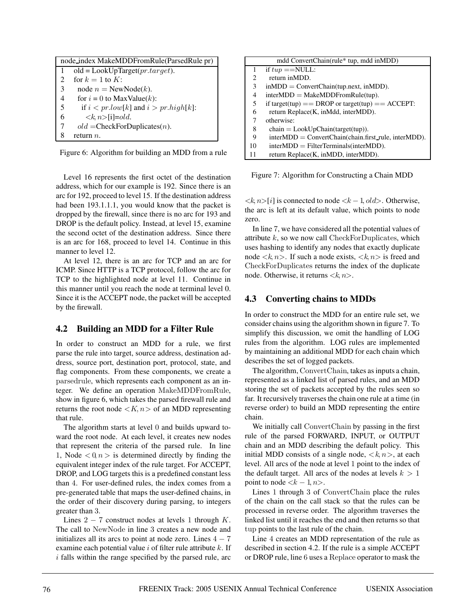|    | node index MakeMDDFromRule(ParsedRule pr) |  |
|----|-------------------------------------------|--|
|    | $old = LookUpTarget(pr.target).$          |  |
| 2  | for $k = 1$ to K:                         |  |
| 3  | node $n =$ NewNode(k).                    |  |
| 4  | for $i = 0$ to MaxValue(k):               |  |
| -5 | if $i < pr.low[k]$ and $i > pr.high[k]$ : |  |
| 6  | $\langle k \rangle$ n $>$ [i]=old.        |  |
| 7  | $old = \text{CheckForDuplicates}(n).$     |  |
|    | return $n$ .                              |  |

Figure 6: Algorithm for building an MDD from a rule

Level 16 represents the first octet of the destination address, which for our example is 192. Since there is an arc for 192, proceed to level 15. If the destination address had been 193.1.1.1, you would know that the packet is dropped by the firewall, since there is no arc for 193 and DROP is the default policy. Instead, at level 15, examine the second octet of the destination address. Since there is an arc for 168, proceed to level 14. Continue in this manner to level 12.

At level 12, there is an arc for TCP and an arc for ICMP. Since HTTP is a TCP protocol, follow the arc for TCP to the highlighted node at level 11. Continue in this manner until you reach the node at terminal level 0. Since it is the ACCEPT node, the packet will be accepted by the firewall.

#### **4.2 Building an MDD for a Filter Rule**

In order to construct an MDD for a rule, we first parse the rule into target, source address, destination address, source port, destination port, protocol, state, and flag components. From these components, we create a parsedrule, which represents each component as an integer. We define an operation MakeMDDFromRule, show in figure 6, which takes the parsed firewall rule and returns the root node  $\langle K, n \rangle$  of an MDD representing that rule.

The algorithm starts at level 0 and builds upward toward the root node. At each level, it creates new nodes that represent the criteria of the parsed rule. In line 1, Node  $\langle 0, n \rangle$  is determined directly by finding the equivalent integer index of the rule target. For ACCEPT, DROP, and LOG targets this is a predefined constant less than 4. For user-defined rules, the index comes from a pre-generated table that maps the user-defined chains, in the order of their discovery during parsing, to integers greater than 3.

Lines  $2 - 7$  construct nodes at levels 1 through K. The call to NewNode in line 3 creates a new node and initializes all its arcs to point at node zero. Lines  $4 - 7$ examine each potential value  $i$  of filter rule attribute  $k$ . If  $i$  falls within the range specified by the parsed rule, arc

|    | mdd ConvertChain(rule* tup, mdd inMDD)                     |
|----|------------------------------------------------------------|
| 1  | if $tup = =$ NULL:                                         |
| 2  | return in MDD.                                             |
| 3  | $inMDD = ConvertChain(tup.next, inMDD).$                   |
| 4  | $interMDD = MakeMDDFromRule(tup).$                         |
| 5  | if target(tup) == DROP or target(tup) == $\text{ACCEPT}$ : |
| 6  | return Replace(K, inMdd, interMDD).                        |
| 7  | otherwise:                                                 |
| 8  | $chain = LookUpChain(target(tup)).$                        |
| 9  | $interMDD = ConvertChain(chain, first_{rule, interMDD}).$  |
| 10 | $interMDD = FilterTerminals(interMDD).$                    |
| 11 | return Replace(K, inMDD, interMDD).                        |

Figure 7: Algorithm for Constructing a Chain MDD

 $\langle k, n \rangle[i]$  is connected to node  $\langle k - 1, old \rangle$ . Otherwise, the arc is left at its default value, which points to node zero.

In line 7, we have considered all the potential values of attribute  $k$ , so we now call CheckForDuplicates, which uses hashing to identify any nodes that exactly duplicate node  $\langle k, n \rangle$ . If such a node exists,  $\langle k, n \rangle$  is freed and CheckForDuplicates returns the index of the duplicate node. Otherwise, it returns  $\langle k, n \rangle$ .

# **4.3 Converting chains to MDDs**

In order to construct the MDD for an entire rule set, we consider chains using the algorithm shown in figure 7. To simplify this discussion, we omit the handling of LOG rules from the algorithm. LOG rules are implemented by maintaining an additional MDD for each chain which describes the set of logged packets.

The algorithm, ConvertChain, takes as inputs a chain, represented as a linked list of parsed rules, and an MDD storing the set of packets accepted by the rules seen so far. It recursively traverses the chain one rule at a time (in reverse order) to build an MDD representing the entire chain.

We initially call ConvertChain by passing in the first rule of the parsed FORWARD, INPUT, or OUTPUT chain and an MDD describing the default policy. This initial MDD consists of a single node,  $\langle k, n \rangle$ , at each level. All arcs of the node at level 1 point to the index of the default target. All arcs of the nodes at levels  $k > 1$ point to node  $\langle k-1, n\rangle$ .

Lines 1 through 3 of ConvertChain place the rules of the chain on the call stack so that the rules can be processed in reverse order. The algorithm traverses the linked list until it reaches the end and then returns so that tup points to the last rule of the chain.

Line 4 creates an MDD representation of the rule as described in section 4.2. If the rule is a simple ACCEPT or DROP rule, line 6 uses a Replace operator to mask the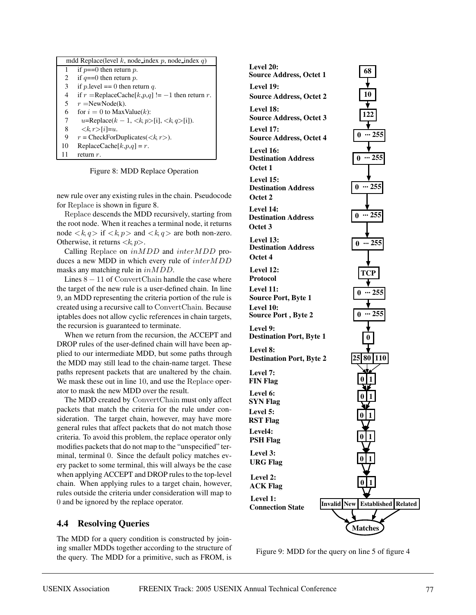|    | mdd Replace(level k, node index p, node index q)                                  |  |  |
|----|-----------------------------------------------------------------------------------|--|--|
| 1  | if $p == 0$ then return p.                                                        |  |  |
| 2  | if $q = 0$ then return p.                                                         |  |  |
| 3  | if p. level $== 0$ then return q.                                                 |  |  |
| 4  | if $r = \text{ReplaceCache}[k,p,q] := -1$ then return r.                          |  |  |
| 5. | $r =$ NewNode(k).                                                                 |  |  |
| 6  | for $i = 0$ to MaxValue(k):                                                       |  |  |
| 7  | u=Replace( $k - 1$ , <k, <math="">p &gt; [i], <k, <math="">q &gt; [i]).</k,></k,> |  |  |
| 8  | $\langle k, r \rangle[i]=u.$                                                      |  |  |
| 9  | $r =$ CheckForDuplicates( $\langle k, r \rangle$ ).                               |  |  |
| 10 | ReplaceCache $[k, p, q] = r$ .                                                    |  |  |
| 11 | return $r$ .                                                                      |  |  |

Figure 8: MDD Replace Operation

new rule over any existing rules in the chain. Pseudocode for Replace is shown in figure 8.

Replace descends the MDD recursively, starting from the root node. When it reaches a terminal node, it returns node  $\langle k, q \rangle$  if  $\langle k, p \rangle$  and  $\langle k, q \rangle$  are both non-zero. Otherwise, it returns  $\langle k, p \rangle$ .

Calling Replace on inMDD and interMDD produces a new MDD in which every rule of interMDD masks any matching rule in inMDD.

Lines  $8 - 11$  of ConvertChain handle the case where the target of the new rule is a user-defined chain. In line 9, an MDD representing the criteria portion of the rule is created using a recursive call to ConvertChain. Because iptables does not allow cyclic references in chain targets, the recursion is guaranteed to terminate.

When we return from the recursion, the ACCEPT and DROP rules of the user-defined chain will have been applied to our intermediate MDD, but some paths through the MDD may still lead to the chain-name target. These paths represent packets that are unaltered by the chain. We mask these out in line 10, and use the Replace operator to mask the new MDD over the result.

The MDD created by ConvertChain must only affect packets that match the criteria for the rule under consideration. The target chain, however, may have more general rules that affect packets that do not match those criteria. To avoid this problem, the replace operator only modifies packets that do not map to the "unspecified" terminal, terminal 0. Since the default policy matches every packet to some terminal, this will always be the case when applying ACCEPT and DROP rules to the top-level chain. When applying rules to a target chain, however, rules outside the criteria under consideration will map to 0 and be ignored by the replace operator.

# **4.4 Resolving Queries**

The MDD for a query condition is constructed by joining smaller MDDs together according to the structure of the query. The MDD for a primitive, such as FROM, is



Figure 9: MDD for the query on line 5 of figure 4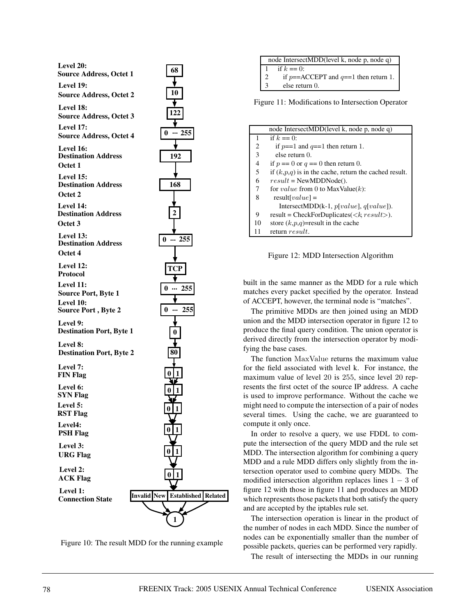

Figure 10: The result MDD for the running example

| node IntersectMDD(level k, node p, node q) |                                        |
|--------------------------------------------|----------------------------------------|
|                                            | if $k == 0$ :                          |
|                                            | if $p=ACCEPT$ and $q=1$ then return 1. |
|                                            | else return 0.                         |

Figure 11: Modifications to Intersection Operator

|    | node IntersectMDD(level k, node p, node q)                  |
|----|-------------------------------------------------------------|
| 1  | if $k == 0$ :                                               |
| 2  | if $p=-1$ and $q=-1$ then return 1.                         |
| 3  | else return 0.                                              |
| 4  | if $p == 0$ or $q == 0$ then return 0.                      |
| 5  | if $(k, p, q)$ is in the cache, return the cached result.   |
| 6  | $result = NewMDDNode()$ .                                   |
| 7  | for <i>value</i> from 0 to MaxValue(k):                     |
| 8  | $result[value] =$                                           |
|    | IntersectMDD(k-1, $p[value]$ , $q[value]$ ).                |
| 9  | result = CheckForDuplicates( $\langle k, result \rangle$ ). |
| 10 | store $(k, p, q)$ =result in the cache                      |
| 11 | return result.                                              |
|    |                                                             |

Figure 12: MDD Intersection Algorithm

built in the same manner as the MDD for a rule which matches every packet specified by the operator. Instead of ACCEPT, however, the terminal node is "matches".

The primitive MDDs are then joined using an MDD union and the MDD intersection operator in figure 12 to produce the final query condition. The union operator is derived directly from the intersection operator by modifying the base cases.

The function MaxValue returns the maximum value for the field associated with level k. For instance, the maximum value of level 20 is 255, since level 20 represents the first octet of the source IP address. A cache is used to improve performance. Without the cache we might need to compute the intersection of a pair of nodes several times. Using the cache, we are guaranteed to compute it only once.

In order to resolve a query, we use FDDL to compute the intersection of the query MDD and the rule set MDD. The intersection algorithm for combining a query MDD and a rule MDD differs only slightly from the intersection operator used to combine query MDDs. The modified intersection algorithm replaces lines  $1 - 3$  of figure 12 with those in figure 11 and produces an MDD which represents those packets that both satisfy the query and are accepted by the iptables rule set.

The intersection operation is linear in the product of the number of nodes in each MDD. Since the number of nodes can be exponentially smaller than the number of possible packets, queries can be performed very rapidly.

The result of intersecting the MDDs in our running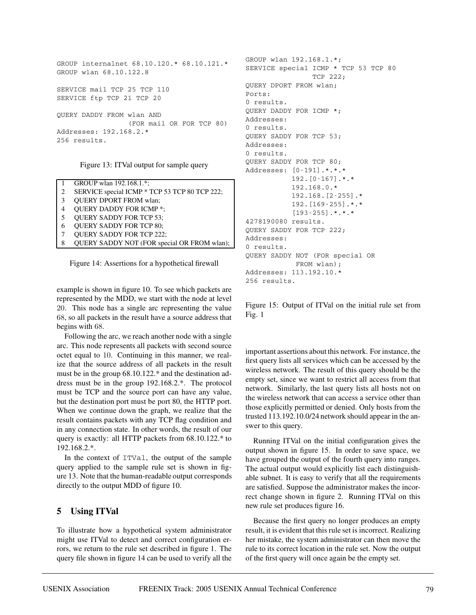```
GROUP internalnet 68.10.120.* 68.10.121.*
GROUP wlan 68.10.122.8
SERVICE mail TCP 25 TCP 110
SERVICE ftp TCP 21 TCP 20
QUERY DADDY FROM wlan AND
                 (FOR mail OR FOR TCP 80)
Addresses: 192.168.2.*
256 results.
```
Figure 13: ITVal output for sample query

|   | GROUP wlan 192.168.1.*;                       |
|---|-----------------------------------------------|
| 2 | SERVICE special ICMP * TCP 53 TCP 80 TCP 222; |
| 3 | <b>QUERY DPORT FROM wlan;</b>                 |
| 4 | <b>QUERY DADDY FOR ICMP *;</b>                |
| 5 | <b>QUERY SADDY FOR TCP 53;</b>                |
| 6 | <b>QUERY SADDY FOR TCP 80;</b>                |
|   | <b>QUERY SADDY FOR TCP 222;</b>               |
| 8 | QUERY SADDY NOT (FOR special OR FROM wlan);   |
|   |                                               |

Figure 14: Assertions for a hypothetical firewall

example is shown in figure 10. To see which packets are represented by the MDD, we start with the node at level 20. This node has a single arc representing the value 68, so all packets in the result have a source address that begins with 68.

Following the arc, we reach another node with a single arc. This node represents all packets with second source octet equal to 10. Continuing in this manner, we realize that the source address of all packets in the result must be in the group 68.10.122.\* and the destination address must be in the group 192.168.2.\*. The protocol must be TCP and the source port can have any value, but the destination port must be port 80, the HTTP port. When we continue down the graph, we realize that the result contains packets with any TCP flag condition and in any connection state. In other words, the result of our query is exactly: all HTTP packets from 68.10.122.\* to 192.168.2.\*.

In the context of ITVal, the output of the sample query applied to the sample rule set is shown in figure 13. Note that the human-readable output corresponds directly to the output MDD of figure 10.

# **5 Using ITVal**

To illustrate how a hypothetical system administrator might use ITVal to detect and correct configuration errors, we return to the rule set described in figure 1. The query file shown in figure 14 can be used to verify all the

```
GROUP wlan 192.168.1.*;
SERVICE special ICMP * TCP 53 TCP 80
                TCP 222;
QUERY DPORT FROM wlan;
Ports:
0 results.
QUERY DADDY FOR ICMP *;
Addresses:
0 results.
QUERY SADDY FOR TCP 53;
Addresses:
0 results.
QUERY SADDY FOR TCP 80;
Addresses: [0-191].*.*.*
           192.[0-167].*.*
           192.168.0.*
           192.168.[2-255].*
           192.[169-255].*.*
           [193-255].*.*.*
4278190080 results.
QUERY SADDY FOR TCP 222;
Addresses:
0 results.
QUERY SADDY NOT (FOR special OR
           FROM wlan);
Addresses: 113.192.10.*
256 results.
```
Figure 15: Output of ITVal on the initial rule set from Fig. 1

important assertions about this network. For instance, the first query lists all services which can be accessed by the wireless network. The result of this query should be the empty set, since we want to restrict all access from that network. Similarly, the last query lists all hosts not on the wireless network that can access a service other than those explicitly permitted or denied. Only hosts from the trusted 113.192.10.0/24 network should appear in the answer to this query.

Running ITVal on the initial configuration gives the output shown in figure 15. In order to save space, we have grouped the output of the fourth query into ranges. The actual output would explicitly list each distinguishable subnet. It is easy to verify that all the requirements are satisfied. Suppose the administrator makes the incorrect change shown in figure 2. Running ITVal on this new rule set produces figure 16.

Because the first query no longer produces an empty result, it is evident that this rule set is incorrect. Realizing her mistake, the system administrator can then move the rule to its correct location in the rule set. Now the output of the first query will once again be the empty set.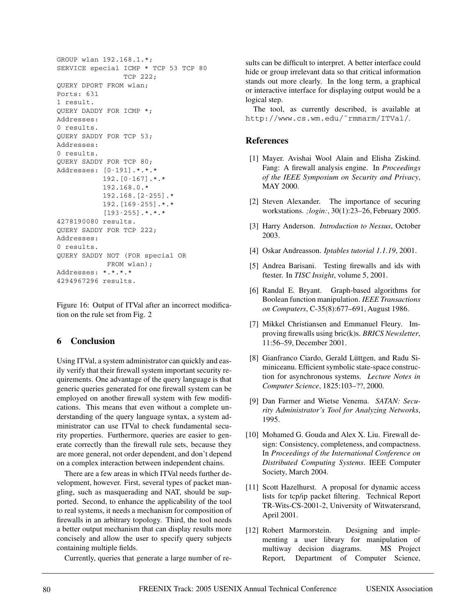```
GROUP wlan 192.168.1.*;
SERVICE special ICMP * TCP 53 TCP 80
                TCP 222;
QUERY DPORT FROM wlan;
Ports: 631
1 result.
QUERY DADDY FOR ICMP *;
Addresses:
0 results.
QUERY SADDY FOR TCP 53;
Addresses:
0 results.
QUERY SADDY FOR TCP 80;
Addresses: [0-191].*.*.*
           192.[0-167].*.*
           192.168.0.*
           192.168.[2-255].*
           192.[169-255].*.*
           [193-255].*.*.*
4278190080 results.
QUERY SADDY FOR TCP 222;
Addresses:
0 results.
QUERY SADDY NOT (FOR special OR
          FROM wlan);
Addresses: *.*.*.*
4294967296 results.
```
Figure 16: Output of ITVal after an incorrect modification on the rule set from Fig. 2

# **6 Conclusion**

Using ITVal, a system administrator can quickly and easily verify that their firewall system important security requirements. One advantage of the query language is that generic queries generated for one firewall system can be employed on another firewall system with few modifications. This means that even without a complete understanding of the query language syntax, a system administrator can use ITVal to check fundamental security properties. Furthermore, queries are easier to generate correctly than the firewall rule sets, because they are more general, not order dependent, and don't depend on a complex interaction between independent chains.

There are a few areas in which ITVal needs further development, however. First, several types of packet mangling, such as masquerading and NAT, should be supported. Second, to enhance the applicability of the tool to real systems, it needs a mechanism for composition of firewalls in an arbitrary topology. Third, the tool needs a better output mechanism that can display results more concisely and allow the user to specify query subjects containing multiple fields.

Currently, queries that generate a large number of re-

sults can be difficult to interpret. A better interface could hide or group irrelevant data so that critical information stands out more clearly. In the long term, a graphical or interactive interface for displaying output would be a logical step.

The tool, as currently described, is available at http://www.cs.wm.edu/˜rmmarm/ITVal/.

# **References**

- [1] Mayer. Avishai Wool Alain and Elisha Ziskind. Fang: A firewall analysis engine. In *Proceedings of the IEEE Symposium on Security and Privacy*, MAY 2000.
- [2] Steven Alexander. The importance of securing workstations. *;login:*, 30(1):23–26, February 2005.
- [3] Harry Anderson. *Introduction to Nessus*, October 2003.
- [4] Oskar Andreasson. *Iptables tutorial 1.1.19*, 2001.
- [5] Andrea Barisani. Testing firewalls and ids with ftester. In *TISC Insight*, volume 5, 2001.
- [6] Randal E. Bryant. Graph-based algorithms for Boolean function manipulation. *IEEE Transactions on Computers*, C-35(8):677–691, August 1986.
- [7] Mikkel Christiansen and Emmanuel Fleury. Improving firewalls using bric(k)s. *BRICS Newsletter*, 11:56–59, December 2001.
- [8] Gianfranco Ciardo, Gerald Lüttgen, and Radu Siminiceanu. Efficient symbolic state-space construction for asynchronous systems. *Lecture Notes in Computer Science*, 1825:103–??, 2000.
- [9] Dan Farmer and Wietse Venema. *SATAN: Security Administrator's Tool for Analyzing Networks*, 1995.
- [10] Mohamed G. Gouda and Alex X. Liu. Firewall design: Consistency, completeness, and compactness. In *Proceedings of the International Conference on Distributed Computing Systems*. IEEE Computer Society, March 2004.
- [11] Scott Hazelhurst. A proposal for dynamic access lists for tcp/ip packet filtering. Technical Report TR-Wits-CS-2001-2, University of Witwatersrand, April 2001.
- [12] Robert Marmorstein. Designing and implementing a user library for manipulation of multiway decision diagrams. MS Project Report, Department of Computer Science,